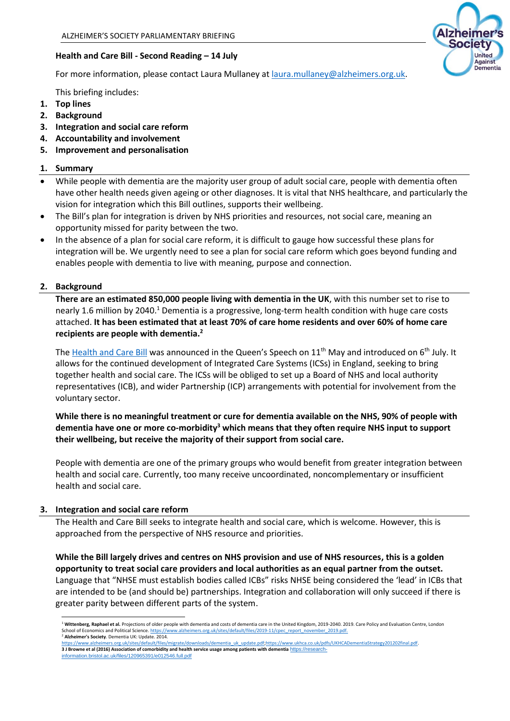## **Health and Care Bill - Second Reading – 14 July**

For more information, please contact Laura Mullaney at [laura.mullaney@alzheimers.org.uk.](mailto:laura.mullaney@alzheimers.org.uk)

This briefing includes:

- **1. Top lines**
- **2. Background**
- **3. Integration and social care reform**
- **4. Accountability and involvement**
- **5. Improvement and personalisation**

#### **1. Summary**

- While people with dementia are the majority user group of adult social care, people with dementia often have other health needs given ageing or other diagnoses. It is vital that NHS healthcare, and particularly the vision for integration which this Bill outlines, supports their wellbeing.
- The Bill's plan for integration is driven by NHS priorities and resources, not social care, meaning an opportunity missed for parity between the two.
- In the absence of a plan for social care reform, it is difficult to gauge how successful these plans for integration will be. We urgently need to see a plan for social care reform which goes beyond funding and enables people with dementia to live with meaning, purpose and connection.

## **2. Background**

**There are an estimated 850,000 people living with dementia in the UK**, with this number set to rise to nearly 1.6 million by 2040.<sup>1</sup> Dementia is a progressive, long-term health condition with huge care costs attached. **It has been estimated that at least 70% of care home residents and over 60% of home care recipients are people with dementia.<sup>2</sup>**

The [Health and Care Bill](https://commonslibrary.parliament.uk/research-briefings/cbp-9232/) was announced in the Queen's Speech on 11<sup>th</sup> May and introduced on 6<sup>th</sup> July. It allows for the continued development of Integrated Care Systems (ICSs) in England, seeking to bring together health and social care. The ICSs will be obliged to set up a Board of NHS and local authority representatives (ICB), and wider Partnership (ICP) arrangements with potential for involvement from the voluntary sector.

# **While there is no meaningful treatment or cure for dementia available on the NHS, 90% of people with dementia have one or more co-morbidity<sup>3</sup> which means that they often require NHS input to support their wellbeing, but receive the majority of their support from social care.**

People with dementia are one of the primary groups who would benefit from greater integration between health and social care. Currently, too many receive uncoordinated, noncomplementary or insufficient health and social care.

#### **3. Integration and social care reform**

The Health and Care Bill seeks to integrate health and social care, which is welcome. However, this is approached from the perspective of NHS resource and priorities.

**While the Bill largely drives and centres on NHS provision and use of NHS resources, this is a golden opportunity to treat social care providers and local authorities as an equal partner from the outset.** Language that "NHSE must establish bodies called ICBs" risks NHSE being considered the 'lead' in ICBs that are intended to be (and should be) partnerships. Integration and collaboration will only succeed if there is greater parity between different parts of the system.

[https://www.alzheimers.org.uk/sites/default/files/migrate/downloads/dementia\\_uk\\_update.pdf;](https://www.alzheimers.org.uk/sites/default/files/migrate/downloads/dementia_uk_update.pdf)https://www.ukhca.co.uk/pdfs/UKHCADementiaStrategy201202final.pdf **3 J Browne et al (2016) Association of comorbidity and health service usage among patients with dementia** [https://research-](https://research-information.bristol.ac.uk/files/120965391/e012546.full.pdf).uk/files/120965391/e012546.full.pdf



<sup>&</sup>lt;sup>1</sup> Wittenberg, Raphael et al. Projections of older people with dementia and costs of dementia care in the United Kingdom, 2019-2040. 2019. Care Policy and Evaluation Centre, London School of Economics and Political Science[. https://www.alzheimers.org.uk/sites/default/files/2019-11/cpec\\_report\\_november\\_2019.pdf.](https://www.alzheimers.org.uk/sites/default/files/2019-11/cpec_report_november_2019.pdf) <sup>2</sup> **Alzheimer's Society**. Dementia UK: Update. 2014.